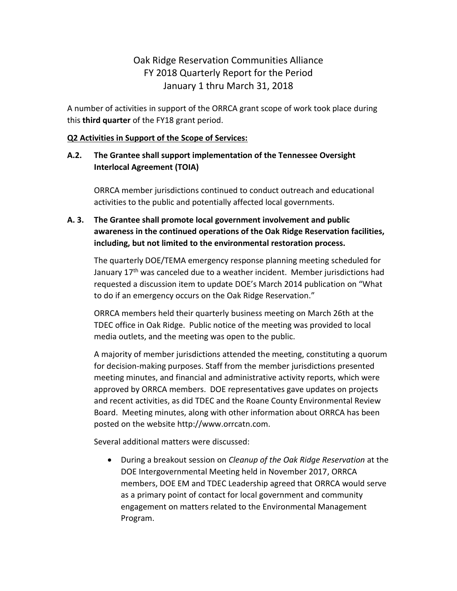# Oak Ridge Reservation Communities Alliance FY 2018 Quarterly Report for the Period January 1 thru March 31, 2018

A number of activities in support of the ORRCA grant scope of work took place during this **third quarter** of the FY18 grant period.

#### **Q2 Activities in Support of the Scope of Services:**

## **A.2. The Grantee shall support implementation of the Tennessee Oversight Interlocal Agreement (TOIA)**

ORRCA member jurisdictions continued to conduct outreach and educational activities to the public and potentially affected local governments.

## **A. 3. The Grantee shall promote local government involvement and public awareness in the continued operations of the Oak Ridge Reservation facilities, including, but not limited to the environmental restoration process.**

The quarterly DOE/TEMA emergency response planning meeting scheduled for January 17<sup>th</sup> was canceled due to a weather incident. Member jurisdictions had requested a discussion item to update DOE's March 2014 publication on "What to do if an emergency occurs on the Oak Ridge Reservation."

ORRCA members held their quarterly business meeting on March 26th at the TDEC office in Oak Ridge. Public notice of the meeting was provided to local media outlets, and the meeting was open to the public.

A majority of member jurisdictions attended the meeting, constituting a quorum for decision-making purposes. Staff from the member jurisdictions presented meeting minutes, and financial and administrative activity reports, which were approved by ORRCA members. DOE representatives gave updates on projects and recent activities, as did TDEC and the Roane County Environmental Review Board. Meeting minutes, along with other information about ORRCA has been posted on the website http://www.orrcatn.com.

Several additional matters were discussed:

 During a breakout session on *Cleanup of the Oak Ridge Reservation* at the DOE Intergovernmental Meeting held in November 2017, ORRCA members, DOE EM and TDEC Leadership agreed that ORRCA would serve as a primary point of contact for local government and community engagement on matters related to the Environmental Management Program.